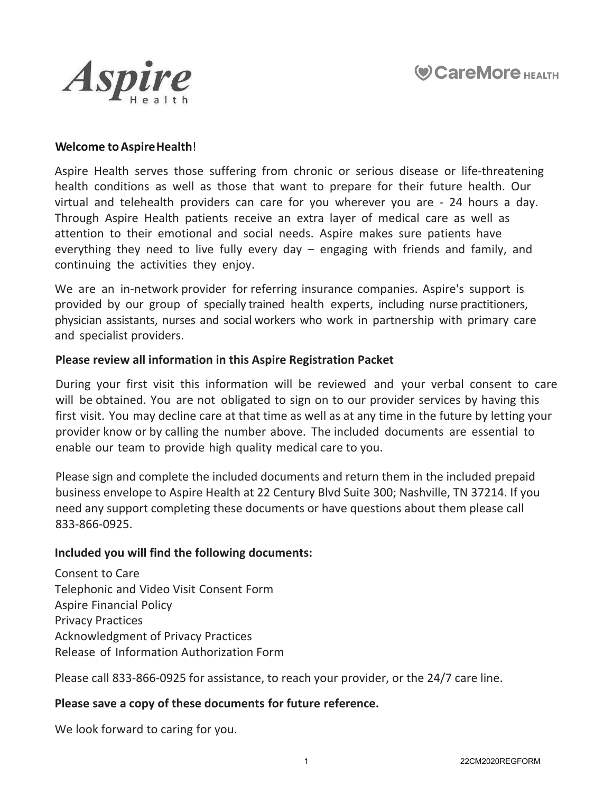



### **Welcome to Aspire Health**!

Aspire Health serves those suffering from chronic or serious disease or life-threatening health conditions as well as those that want to prepare for their future health. Our virtual and telehealth providers can care for you wherever you are - 24 hours a day. Through Aspire Health patients receive an extra layer of medical care as well as attention to their emotional and social needs. Aspire makes sure patients have everything they need to live fully every day – engaging with friends and family, and continuing the activities they enjoy.

We are an in-network provider for referring insurance companies. Aspire's support is provided by our group of specially trained health experts, including nurse practitioners, physician assistants, nurses and social workers who work in partnership with primary care and specialist providers.

### **Please review all information in this Aspire Registration Packet**

During your first visit this information will be reviewed and your verbal consent to care will be obtained. You are not obligated to sign on to our provider services by having this first visit. You may decline care at that time as well as at any time in the future by letting your provider know or by calling the number above. The included documents are essential to enable our team to provide high quality medical care to you.

Please sign and complete the included documents and return them in the included prepaid business envelope to Aspire Health at 22 Century Blvd Suite 300; Nashville, TN 37214. If you need any support completing these documents or have questions about them please call 833-866-0925.

### **Included you will find the following documents:**

Consent to Care Telephonic and Video Visit Consent Form Aspire Financial Policy Privacy Practices Acknowledgment of Privacy Practices Release of Information Authorization Form

Please call 833-866-0925 for assistance, to reach your provider, or the 24/7 care line.

### **Please save a copy of these documents for future reference.**

We look forward to caring for you.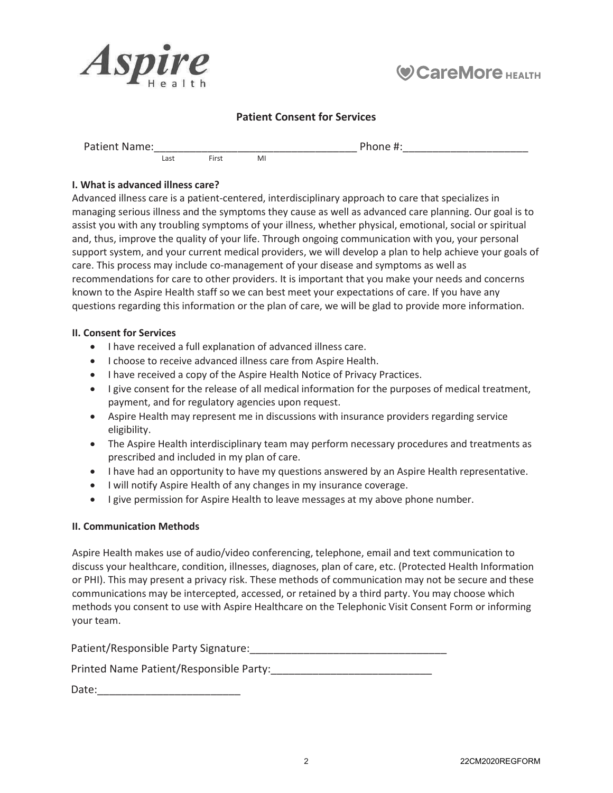



### Patient Consent for Services

Patient Name:\_\_\_\_\_\_\_\_\_\_\_\_\_\_\_\_\_\_\_\_\_\_\_\_\_\_\_\_\_\_\_\_\_\_ Phone #:\_\_\_\_\_\_\_\_\_\_\_\_\_\_\_\_\_\_\_\_\_ First

### I. What is advanced illness care?

Advanced illness care is a patient-centered, interdisciplinary approach to care that specializes in managing serious illness and the symptoms they cause as well as advanced care planning. Our goal is to assist you with any troubling symptoms of your illness, whether physical, emotional, social or spiritual and, thus, improve the quality of your life. Through ongoing communication with you, your personal support system, and your current medical providers, we will develop a plan to help achieve your goals of care. This process may include co-management of your disease and symptoms as well as recommendations for care to other providers. It is important that you make your needs and concerns known to the Aspire Health staff so we can best meet your expectations of care. If you have any questions regarding this information or the plan of care, we will be glad to provide more information.

#### II. Consent for Services

- I have received a full explanation of advanced illness care.
- I choose to receive advanced illness care from Aspire Health.
- I have received a copy of the Aspire Health Notice of Privacy Practices.
- I give consent for the release of all medical information for the purposes of medical treatment, payment, and for regulatory agencies upon request.
- Aspire Health may represent me in discussions with insurance providers regarding service eligibility.
- The Aspire Health interdisciplinary team may perform necessary procedures and treatments as prescribed and included in my plan of care.
- I have had an opportunity to have my questions answered by an Aspire Health representative.
- I will notify Aspire Health of any changes in my insurance coverage.
- **•** I give permission for Aspire Health to leave messages at my above phone number.

### II. Communication Methods

Aspire Health makes use of audio/video conferencing, telephone, email and text communication to discuss your healthcare, condition, illnesses, diagnoses, plan of care, etc. (Protected Health Information or PHI). This may present a privacy risk. These methods of communication may not be secure and these communications may be intercepted, accessed, or retained by a third party. You may choose which methods you consent to use with Aspire Healthcare on the Telephonic Visit Consent Form or informing your team.

PatientͬZĞƐƉŽŶƐŝďůĞWĂƌƚLJSignature:\_\_\_\_\_\_\_\_\_\_\_\_\_\_\_\_\_\_\_\_\_\_\_\_\_\_\_\_\_\_\_\_\_

WƌŝŶƚĞĚEĂŵĞWĂƚŝĞŶƚͬZĞƐƉŽŶƐŝďůĞWĂƌƚLJ͗ͺͺͺͺͺͺͺͺͺͺͺͺͺͺͺͺͺͺͺͺͺͺͺͺͺͺͺ

Date: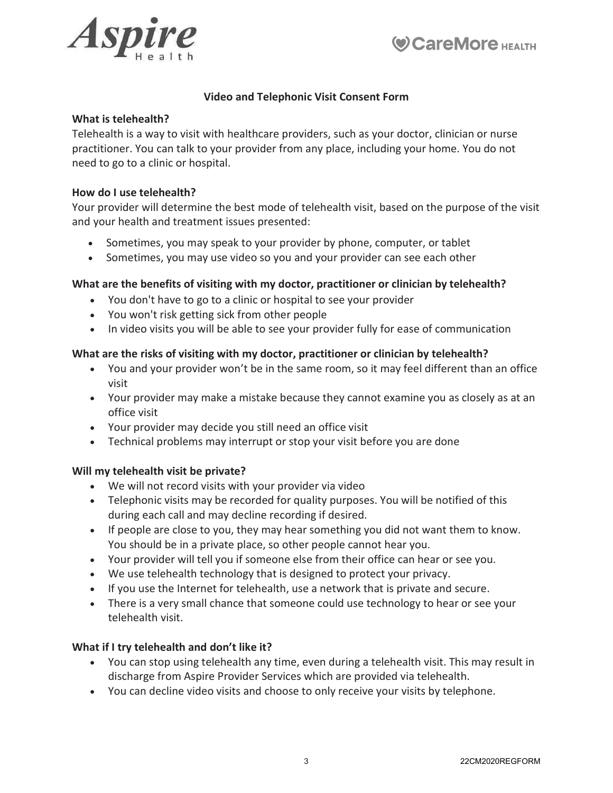



### Video and Telephonic Visit Consent Form

### What is telehealth?

Telehealth is a way to visit with healthcare providers, such as your doctor, clinician or nurse practitioner. You can talk to your provider from any place, including your home. You do not need to go to a clinic or hospital.

### How do I use telehealth?

Your provider will determine the best mode of telehealth visit, based on the purpose of the visit and your health and treatment issues presented:

- Sometimes, you may speak to your provider by phone, computer, or tablet
- Sometimes, you may use video so you and your provider can see each other

### What are the benefits of visiting with my doctor, practitioner or clinician by telehealth?

- You don't have to go to a clinic or hospital to see your provider
- You won't risk getting sick from other people
- In video visits you will be able to see your provider fully for ease of communication

### What are the risks of visiting with my doctor, practitioner or clinician by telehealth?

- You and your provider won't be in the same room, so it may feel different than an office visit
- Your provider may make a mistake because they cannot examine you as closely as at an office visit
- Your provider may decide you still need an office visit
- Technical problems may interrupt or stop your visit before you are done

### Will my telehealth visit be private?

- We will not record visits with your provider via video
- Telephonic visits may be recorded for quality purposes. You will be notified of this during each call and may decline recording if desired.
- If people are close to you, they may hear something you did not want them to know. You should be in a private place, so other people cannot hear you.
- Your provider will tell you if someone else from their office can hear or see you.
- We use telehealth technology that is designed to protect your privacy.
- If you use the Internet for telehealth, use a network that is private and secure.
- There is a very small chance that someone could use technology to hear or see your telehealth visit.

### What if I try telehealth and don't like it?

- You can stop using telehealth any time, even during a telehealth visit. This may result in discharge from Aspire Provider Services which are provided via telehealth.
- You can decline video visits and choose to only receive your visits by telephone.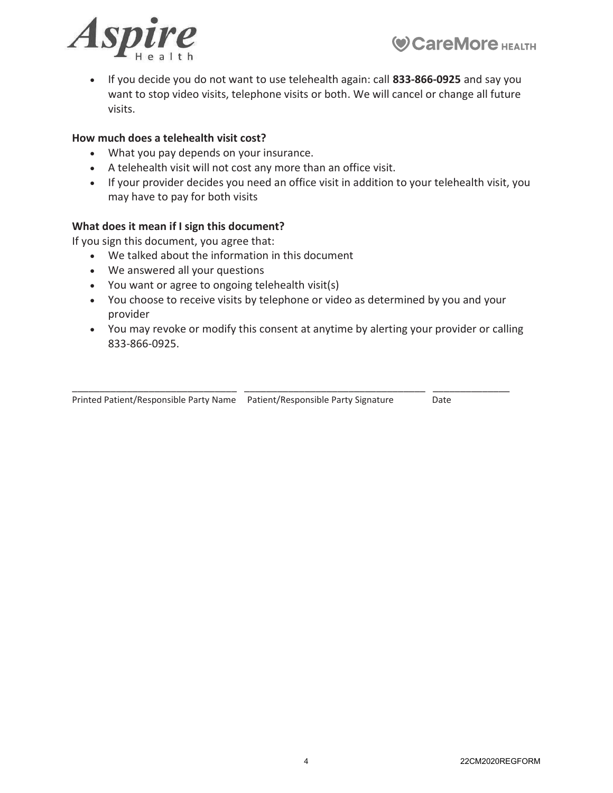



• If you decide you do not want to use telehealth again: call 833-866-0925 and say you want to stop video visits, telephone visits or both. We will cancel or change all future visits.

### How much does a telehealth visit cost?

- What you pay depends on your insurance.
- A telehealth visit will not cost any more than an office visit.
- If your provider decides you need an office visit in addition to your telehealth visit, you may have to pay for both visits

### What does it mean if I sign this document?

If you sign this document, you agree that:

- We talked about the information in this document
- We answered all your questions
- You want or agree to ongoing telehealth visit(s)
- You choose to receive visits by telephone or video as determined by you and your provider
- You may revoke or modify this consent at anytime by alerting your provider or calling 833-866-0925.

| Printed Patient/Responsible Party Name    Patient/Responsible Party Signature | Date |
|-------------------------------------------------------------------------------|------|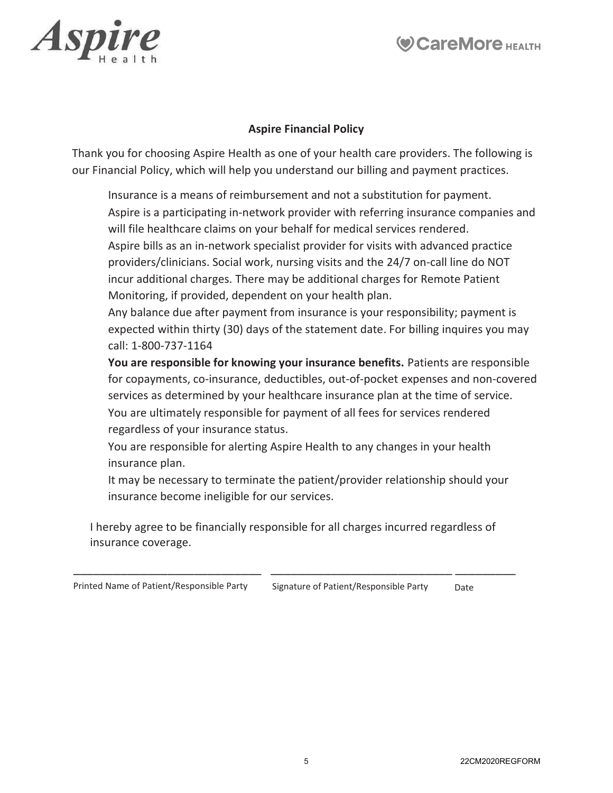



### Aspire Financial Policy

Thank you for choosing Aspire Health as one of your health care providers. The following is our Financial Policy, which will help you understand our billing and payment practices.

 Insurance is a means of reimbursement and not a substitution for payment. Aspire is a participating in-network provider with referring insurance companies and will file healthcare claims on your behalf for medical services rendered. Aspire bills as an in-network specialist provider for visits with advanced practice providers/clinicians. Social work, nursing visits and the 24/7 on-call line do NOT incur additional charges. There may be additional charges for Remote Patient Monitoring, if provided, dependent on your health plan.

 Any balance due after payment from insurance is your responsibility; payment is expected within thirty (30) days of the statement date. For billing inquires you may call: 1-800-737-1164

 You are responsible for knowing your insurance benefits. Patients are responsible for copayments, co-insurance, deductibles, out-of-pocket expenses and non-covered services as determined by your healthcare insurance plan at the time of service. You are ultimately responsible for payment of all fees for services rendered regardless of your insurance status.

 You are responsible for alerting Aspire Health to any changes in your health insurance plan.

 It may be necessary to terminate the patient/provider relationship should your insurance become ineligible for our services.

I hereby agree to be financially responsible for all charges incurred regardless of insurance coverage.

\_\_\_\_\_\_\_\_\_\_\_\_\_\_\_\_\_\_\_\_\_\_\_\_\_\_\_\_ \_\_\_\_\_\_\_\_\_\_\_\_\_\_\_\_\_\_\_\_\_\_\_\_\_\_\_ \_\_\_\_\_\_\_\_\_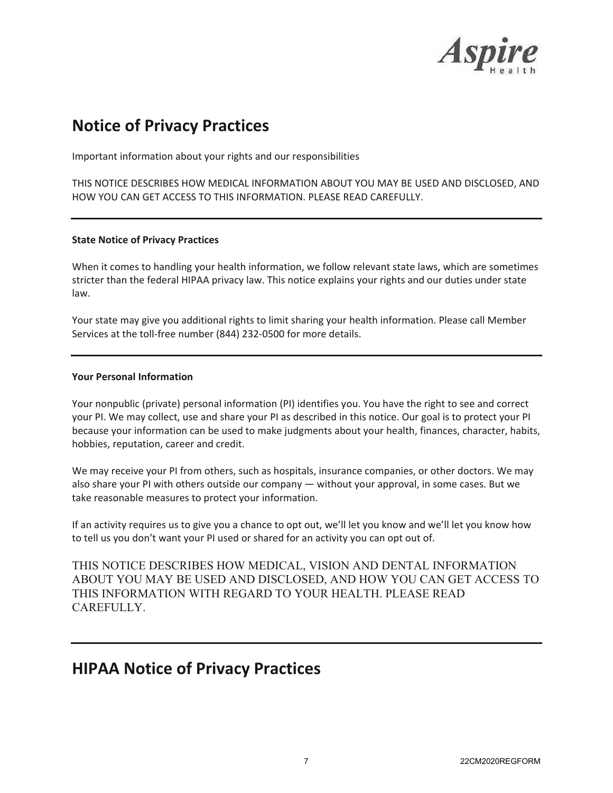

## **Notice of Privacy Practices**

Important information about your rights and our responsibilities

THIS NOTICE DESCRIBES HOW MEDICAL INFORMATION ABOUT YOU MAY BE USED AND DISCLOSED, AND HOW YOU CAN GET ACCESS TO THIS INFORMATION. PLEASE READ CAREFULLY.

#### **State Notice of Privacy Practices**

When it comes to handling your health information, we follow relevant state laws, which are sometimes stricter than the federal HIPAA privacy law. This notice explains your rights and our duties under state law.

Your state may give you additional rights to limit sharing your health information. Please call Member Services at the toll-free number (844) 232-0500 for more details.

#### **Your Personal Information**

Your nonpublic (private) personal information (PI) identifies you. You have the right to see and correct your PI. We may collect, use and share your PI as described in this notice. Our goal is to protect your PI because your information can be used to make judgments about your health, finances, character, habits, hobbies, reputation, career and credit.

We may receive your PI from others, such as hospitals, insurance companies, or other doctors. We may also share your PI with others outside our company - without your approval, in some cases. But we take reasonable measures to protect your information.

If an activity requires us to give you a chance to opt out, we'll let you know and we'll let you know how to tell us you don't want your PI used or shared for an activity you can opt out of.

THIS NOTICE DESCRIBES HOW MEDICAL, VISION AND DENTAL INFORMATION ABOUT YOU MAY BE USED AND DISCLOSED, AND HOW YOU CAN GET ACCESS TO THIS INFORMATION WITH REGARD TO YOUR HEALTH. PLEASE READ CAREFULLY.

### **HIPAA Notice of Privacy Practices**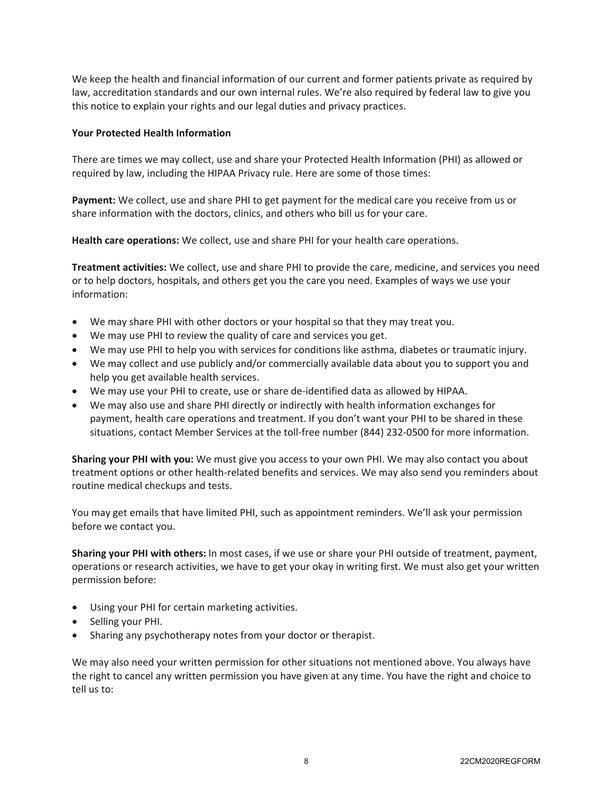We keep the health and financial information of our current and former patients private as required by law, accreditation standards and our own internal rules. We're also required by federal law to give you this notice to explain your rights and our legal duties and privacy practices.

### **Your Protected Health Information**

There are times we may collect, use and share your Protected Health Information (PHI) as allowed or required by law, including the HIPAA Privacy rule. Here are some of those times:

**Payment:** We collect, use and share PHI to get payment for the medical care you receive from us or share information with the doctors, clinics, and others who bill us for your care.

**Health care operations:** We collect, use and share PHI for your health care operations.

**Treatment activities:** We collect, use and share PHI to provide the care, medicine, and services you need or to help doctors, hospitals, and others get you the care you need. Examples of ways we use your information:

- We may share PHI with other doctors or your hospital so that they may treat you.
- We may use PHI to review the quality of care and services you get.
- We may use PHI to help you with services for conditions like asthma, diabetes or traumatic injury.
- We may collect and use publicly and/or commercially available data about you to support you and help you get available health services.
- We may use your PHI to create, use or share de-identified data as allowed by HIPAA.
- We may also use and share PHI directly or indirectly with health information exchanges for payment, health care operations and treatment. If you don't want your PHI to be shared in these situations, contact Member Services at the toll-free number (844) 232-0500 for more information.

**Sharing your PHI with you:** We must give you access to your own PHI. We may also contact you about treatment options or other health-related benefits and services. We may also send you reminders about routine medical checkups and tests.

You may get emails that have limited PHI, such as appointment reminders. We'll ask your permission before we contact you.

**Sharing your PHI with others:** In most cases, if we use or share your PHI outside of treatment, payment, operations or research activities, we have to get your okay in writing first. We must also get your written permission before:

- Using your PHI for certain marketing activities.
- Selling your PHI.
- Sharing any psychotherapy notes from your doctor or therapist.

We may also need your written permission for other situations not mentioned above. You always have the right to cancel any written permission you have given at any time. You have the right and choice to tell us to: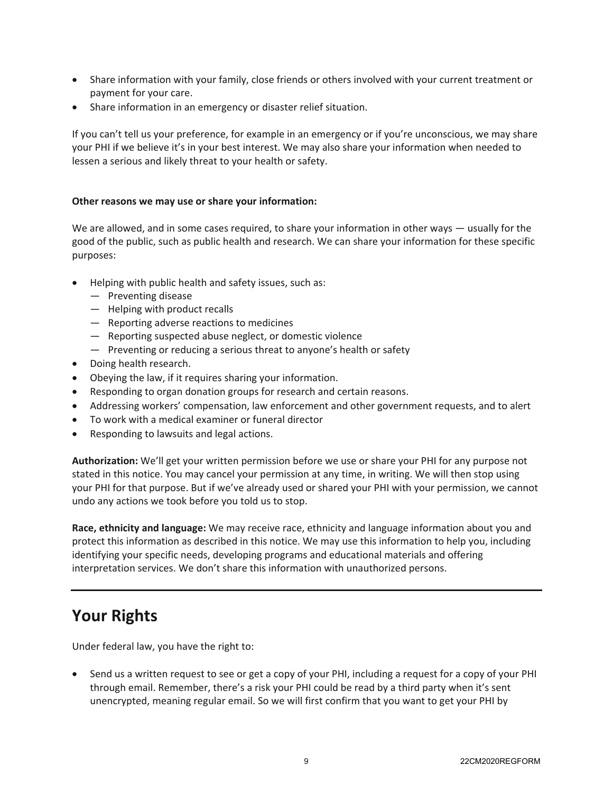- Share information with your family, close friends or others involved with your current treatment or payment for your care.
- Share information in an emergency or disaster relief situation.

If you can't tell us your preference, for example in an emergency or if you're unconscious, we may share your PHI if we believe it's in your best interest. We may also share your information when needed to lessen a serious and likely threat to your health or safety.

### Other reasons we may use or share your information:

We are allowed, and in some cases required, to share your information in other ways  $-$  usually for the good of the public, such as public health and research. We can share your information for these specific purposes:

- Helping with public health and safety issues, such as:
	- $-$  Preventing disease
	- $-$  Helping with product recalls
	- $-$  Reporting adverse reactions to medicines
	- $-$  Reporting suspected abuse neglect, or domestic violence
	- $-$  Preventing or reducing a serious threat to anyone's health or safety
- Doing health research.
- Obeying the law, if it requires sharing your information.
- Responding to organ donation groups for research and certain reasons.
- Addressing workers' compensation, law enforcement and other government requests, and to alert
- $\bullet$  To work with a medical examiner or funeral director
- Responding to lawsuits and legal actions.

Authorization: We'll get your written permission before we use or share your PHI for any purpose not stated in this notice. You may cancel your permission at any time, in writing. We will then stop using your PHI for that purpose. But if we've already used or shared your PHI with your permission, we cannot undo any actions we took before you told us to stop.

Race, ethnicity and language: We may receive race, ethnicity and language information about you and protect this information as described in this notice. We may use this information to help you, including identifying your specific needs, developing programs and educational materials and offering interpretation services. We don't share this information with unauthorized persons.

## **Your Rights**

Under federal law, you have the right to:

• Send us a written request to see or get a copy of your PHI, including a request for a copy of your PHI through email. Remember, there's a risk your PHI could be read by a third party when it's sent unencrypted, meaning regular email. So we will first confirm that you want to get your PHI by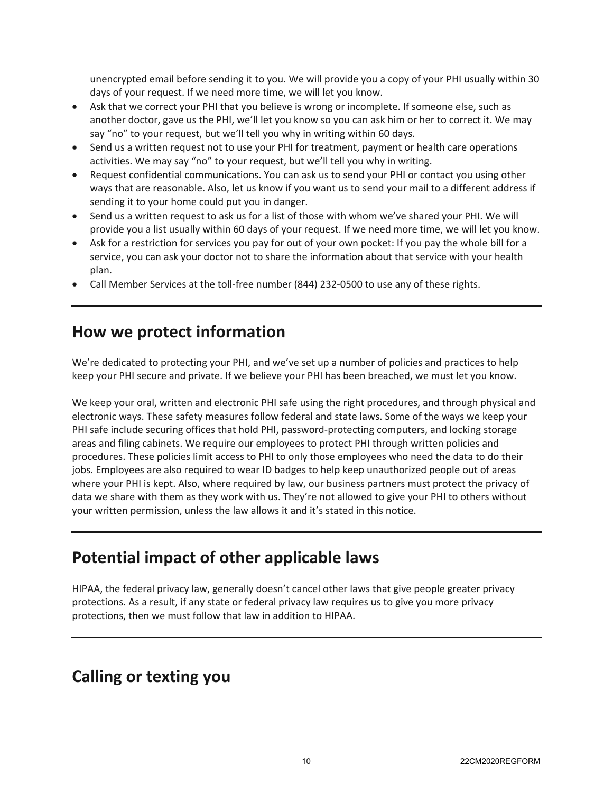unencrypted email before sending it to you. We will provide you a copy of your PHI usually within 30 days of your request. If we need more time, we will let you know.

- Ask that we correct your PHI that you believe is wrong or incomplete. If someone else, such as another doctor, gave us the PHI, we'll let you know so you can ask him or her to correct it. We may say "no" to your request, but we'll tell you why in writing within 60 days.
- Send us a written request not to use your PHI for treatment, payment or health care operations activities. We may say "no" to your request, but we'll tell you why in writing.
- Request confidential communications. You can ask us to send your PHI or contact you using other ways that are reasonable. Also, let us know if you want us to send your mail to a different address if sending it to your home could put you in danger.
- Send us a written request to ask us for a list of those with whom we've shared your PHI. We will provide you a list usually within 60 days of your request. If we need more time, we will let you know.
- Ask for a restriction for services you pay for out of your own pocket: If you pay the whole bill for a service, you can ask your doctor not to share the information about that service with your health plan.
- Call Member Services at the toll-free number (844) 232-0500 to use any of these rights.

### **How we protect information**

We're dedicated to protecting your PHI, and we've set up a number of policies and practices to help keep your PHI secure and private. If we believe your PHI has been breached, we must let you know.

We keep your oral, written and electronic PHI safe using the right procedures, and through physical and electronic ways. These safety measures follow federal and state laws. Some of the ways we keep your PHI safe include securing offices that hold PHI, password-protecting computers, and locking storage areas and filing cabinets. We require our employees to protect PHI through written policies and procedures. These policies limit access to PHI to only those employees who need the data to do their jobs. Employees are also required to wear ID badges to help keep unauthorized people out of areas where your PHI is kept. Also, where required by law, our business partners must protect the privacy of data we share with them as they work with us. They're not allowed to give your PHI to others without your written permission, unless the law allows it and it's stated in this notice.

## Potential impact of other applicable laws

HIPAA, the federal privacy law, generally doesn't cancel other laws that give people greater privacy protections. As a result, if any state or federal privacy law requires us to give you more privacy protections, then we must follow that law in addition to HIPAA.

### **Calling or texting you**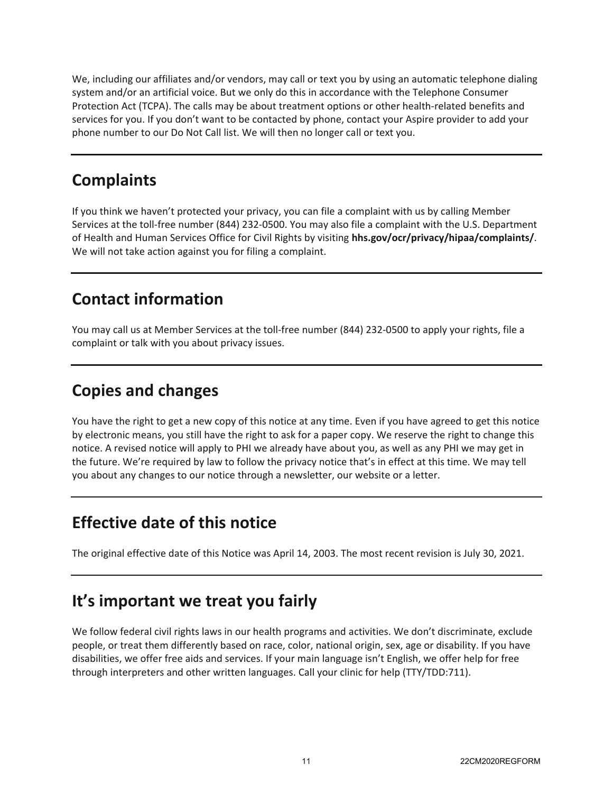We, including our affiliates and/or vendors, may call or text you by using an automatic telephone dialing system and/or an artificial voice. But we only do this in accordance with the Telephone Consumer Protection Act (TCPA). The calls may be about treatment options or other health-related benefits and services for you. If you don't want to be contacted by phone, contact your Aspire provider to add your phone number to our Do Not Call list. We will then no longer call or text you.

# **Complaints**

If you think we haven't protected your privacy, you can file a complaint with us by calling Member Services at the toll-free number (844) 232-0500. You may also file a complaint with the U.S. Department of Health and Human Services Office for Civil Rights by visiting hhs.gov/ocr/privacy/hipaa/complaints/. We will not take action against you for filing a complaint.

# **Contact information**

You may call us at Member Services at the toll-free number (844) 232-0500 to apply your rights, file a complaint or talk with you about privacy issues.

# **Copies and changes**

You have the right to get a new copy of this notice at any time. Even if you have agreed to get this notice by electronic means, you still have the right to ask for a paper copy. We reserve the right to change this notice. A revised notice will apply to PHI we already have about you, as well as any PHI we may get in the future. We're required by law to follow the privacy notice that's in effect at this time. We may tell you about any changes to our notice through a newsletter, our website or a letter.

# **Effective date of this notice**

The original effective date of this Notice was April 14, 2003. The most recent revision is July 30, 2021.

# *lt's* important we treat you fairly

We follow federal civil rights laws in our health programs and activities. We don't discriminate, exclude people, or treat them differently based on race, color, national origin, sex, age or disability. If you have disabilities, we offer free aids and services. If your main language isn't English, we offer help for free through interpreters and other written languages. Call your clinic for help (TTY/TDD:711).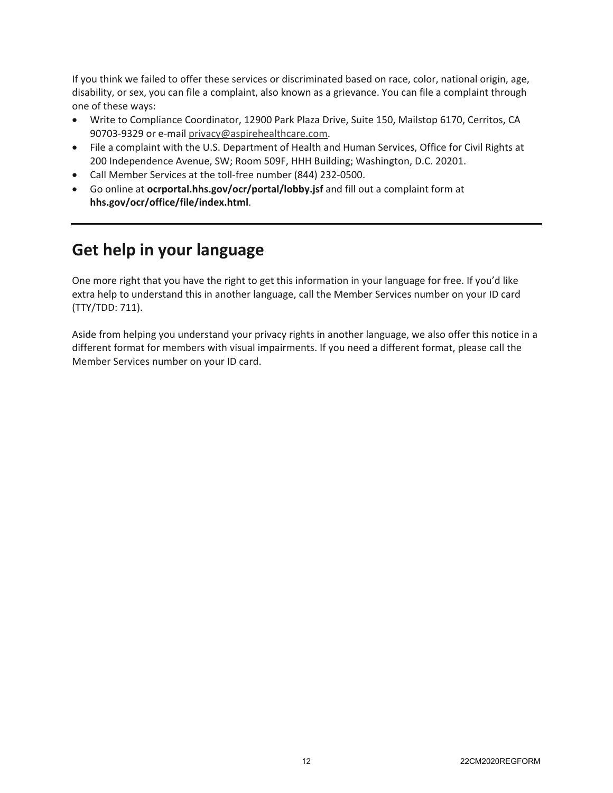If you think we failed to offer these services or discriminated based on race, color, national origin, age, disability, or sex, you can file a complaint, also known as a grievance. You can file a complaint through one of these ways:

- Write to Compliance Coordinator, 12900 Park Plaza Drive, Suite 150, Mailstop 6170, Cerritos, CA 90703-9329 or e-mail privacy@aspirehealthcare.com.
- File a complaint with the U.S. Department of Health and Human Services, Office for Civil Rights at 200 Independence Avenue, SW; Room 509F, HHH Building; Washington, D.C. 20201.
- Call Member Services at the toll-free number (844) 232-0500.
- Go online at ocrportal.hhs.gov/ocr/portal/lobby.jsf and fill out a complaint form at hhs.gov/ocr/office/file/index.html.

# **Get help in your language**

One more right that you have the right to get this information in your language for free. If you'd like extra help to understand this in another language, call the Member Services number on your ID card (TTY/TDD: 711).

Aside from helping you understand your privacy rights in another language, we also offer this notice in a different format for members with visual impairments. If you need a different format, please call the Member Services number on your ID card.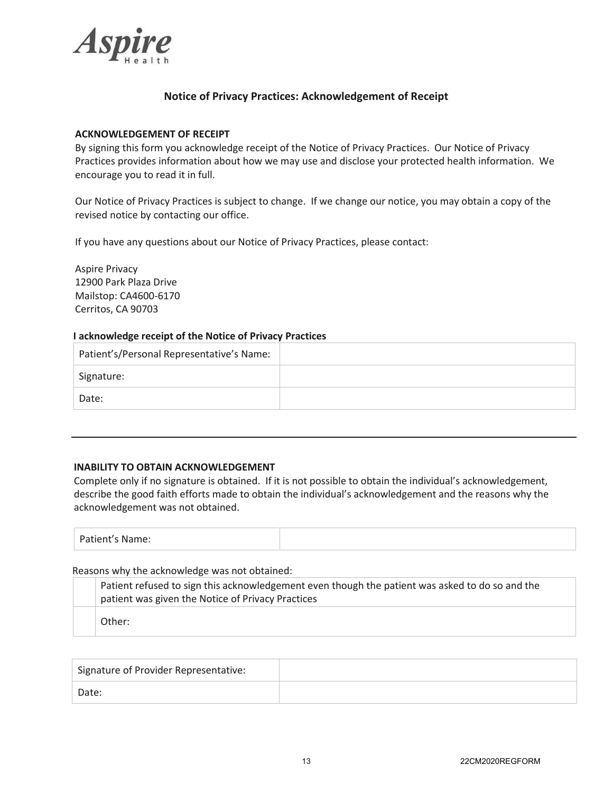

### **Notice of Privacy Practices: Acknowledgement of Receipt**

#### **ACKNOWLEDGEMENT OF RECEIPT**

By signing this form you acknowledge receipt of the Notice of Privacy Practices. Our Notice of Privacy Practices provides information about how we may use and disclose your protected health information. We encourage you to read it in full.

Our Notice of Privacy Practices is subject to change. If we change our notice, you may obtain a copy of the revised notice by contacting our office.

If you have any questions about our Notice of Privacy Practices, please contact:

Aspire Privacy 12900 Park Plaza Drive Mailstop: CA4600-6170 Cerritos, CA 90703

#### **I acknowledge receipt of the Notice of Privacy Practices**

| Patient's/Personal Representative's Name: |  |
|-------------------------------------------|--|
| Signature:                                |  |
| Date:                                     |  |

#### **INABILITY TO OBTAIN ACKNOWLEDGEMENT**

Complete only if no signature is obtained. If it is not possible to obtain the individual's acknowledgement, describe the good faith efforts made to obtain the individual's acknowledgement and the reasons why the acknowledgement was not obtained.

| Patient's Name:<br>. |  |
|----------------------|--|

#### Reasons why the acknowledge was not obtained:

| Patient refused to sign this acknowledgement even though the patient was asked to do so and the |
|-------------------------------------------------------------------------------------------------|
| patient was given the Notice of Privacy Practices                                               |
| Other:                                                                                          |

| Signature of Provider Representative: |  |
|---------------------------------------|--|
| Date:                                 |  |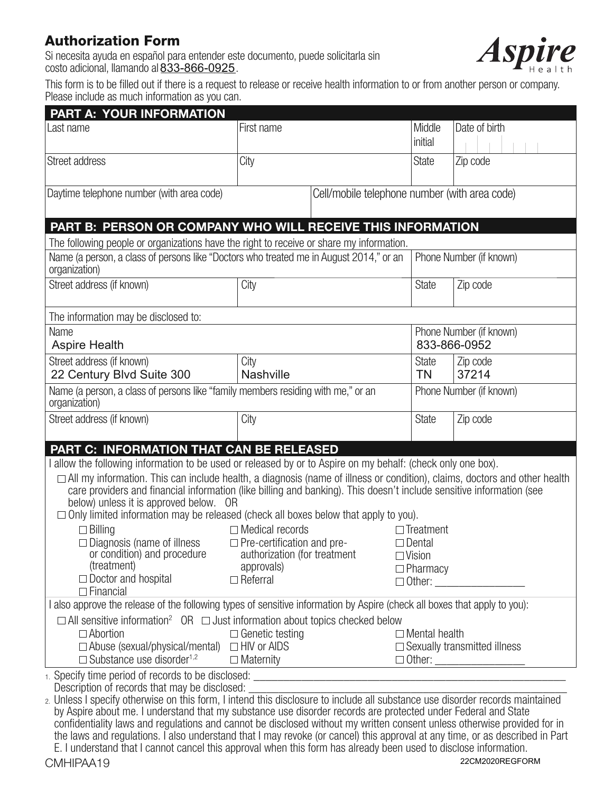### **Authorization Form**

Si necesita ayuda en español para entender este documento, puede solicitarla sin costo adicional, llamando al **833-866-0925**.



This form is to be filled out if there is a request to release or receive health information to or from another person or company. Please include as much information as you can.

| <b>PART A: YOUR INFORMATION</b>                                                                                                                                                                                                                                                                                                                                                                                                                                                                                                                                                                                                                                |                                            |                                               |                                  |                                     |  |
|----------------------------------------------------------------------------------------------------------------------------------------------------------------------------------------------------------------------------------------------------------------------------------------------------------------------------------------------------------------------------------------------------------------------------------------------------------------------------------------------------------------------------------------------------------------------------------------------------------------------------------------------------------------|--------------------------------------------|-----------------------------------------------|----------------------------------|-------------------------------------|--|
| Last name                                                                                                                                                                                                                                                                                                                                                                                                                                                                                                                                                                                                                                                      | First name                                 |                                               | Middle<br>initial                | Date of birth                       |  |
| Street address                                                                                                                                                                                                                                                                                                                                                                                                                                                                                                                                                                                                                                                 | City                                       |                                               | <b>State</b>                     | Zip code                            |  |
| Daytime telephone number (with area code)                                                                                                                                                                                                                                                                                                                                                                                                                                                                                                                                                                                                                      |                                            | Cell/mobile telephone number (with area code) |                                  |                                     |  |
| PART B: PERSON OR COMPANY WHO WILL RECEIVE THIS INFORMATION                                                                                                                                                                                                                                                                                                                                                                                                                                                                                                                                                                                                    |                                            |                                               |                                  |                                     |  |
| The following people or organizations have the right to receive or share my information.                                                                                                                                                                                                                                                                                                                                                                                                                                                                                                                                                                       |                                            |                                               |                                  |                                     |  |
| Name (a person, a class of persons like "Doctors who treated me in August 2014," or an<br>organization)                                                                                                                                                                                                                                                                                                                                                                                                                                                                                                                                                        |                                            |                                               |                                  | Phone Number (if known)             |  |
| Street address (if known)                                                                                                                                                                                                                                                                                                                                                                                                                                                                                                                                                                                                                                      | City                                       |                                               | <b>State</b>                     | Zip code                            |  |
| The information may be disclosed to:                                                                                                                                                                                                                                                                                                                                                                                                                                                                                                                                                                                                                           |                                            |                                               |                                  |                                     |  |
| Phone Number (if known)<br>Name<br><b>Aspire Health</b><br>833-866-0952                                                                                                                                                                                                                                                                                                                                                                                                                                                                                                                                                                                        |                                            |                                               |                                  |                                     |  |
| Street address (if known)<br>22 Century Blvd Suite 300                                                                                                                                                                                                                                                                                                                                                                                                                                                                                                                                                                                                         | City<br><b>Nashville</b>                   |                                               | <b>State</b><br><b>TN</b>        | Zip code<br>37214                   |  |
| Name (a person, a class of persons like "family members residing with me," or an<br>Phone Number (if known)<br>organization)                                                                                                                                                                                                                                                                                                                                                                                                                                                                                                                                   |                                            |                                               |                                  |                                     |  |
| Street address (if known)                                                                                                                                                                                                                                                                                                                                                                                                                                                                                                                                                                                                                                      | City                                       |                                               | <b>State</b>                     | Zip code                            |  |
| PART C: INFORMATION THAT CAN BE RELEASED                                                                                                                                                                                                                                                                                                                                                                                                                                                                                                                                                                                                                       |                                            |                                               |                                  |                                     |  |
| allow the following information to be used or released by or to Aspire on my behalf: (check only one box).                                                                                                                                                                                                                                                                                                                                                                                                                                                                                                                                                     |                                            |                                               |                                  |                                     |  |
| $\Box$ All my information. This can include health, a diagnosis (name of illness or condition), claims, doctors and other health<br>care providers and financial information (like billing and banking). This doesn't include sensitive information (see<br>below) unless it is approved below. OR<br>$\Box$ Only limited information may be released (check all boxes below that apply to you).                                                                                                                                                                                                                                                               |                                            |                                               |                                  |                                     |  |
| $\Box$ Billing                                                                                                                                                                                                                                                                                                                                                                                                                                                                                                                                                                                                                                                 | $\Box$ Medical records                     |                                               | $\Box$ Treatment                 |                                     |  |
| $\Box$ Diagnosis (name of illness                                                                                                                                                                                                                                                                                                                                                                                                                                                                                                                                                                                                                              | $\Box$ Pre-certification and pre-          |                                               | $\Box$ Dental                    |                                     |  |
| or condition) and procedure<br>(treatment)                                                                                                                                                                                                                                                                                                                                                                                                                                                                                                                                                                                                                     | authorization (for treatment<br>approvals) |                                               | $\Box$ Vision<br>$\Box$ Pharmacy |                                     |  |
| $\Box$ Doctor and hospital                                                                                                                                                                                                                                                                                                                                                                                                                                                                                                                                                                                                                                     | $\Box$ Referral                            |                                               |                                  | $\Box$ Other: ____________________  |  |
| $\Box$ Financial<br>also approve the release of the following types of sensitive information by Aspire (check all boxes that apply to you):                                                                                                                                                                                                                                                                                                                                                                                                                                                                                                                    |                                            |                                               |                                  |                                     |  |
| $\Box$ All sensitive information <sup>2</sup> OR $\Box$ Just information about topics checked below                                                                                                                                                                                                                                                                                                                                                                                                                                                                                                                                                            |                                            |                                               |                                  |                                     |  |
| $\Box$ Abortion                                                                                                                                                                                                                                                                                                                                                                                                                                                                                                                                                                                                                                                | $\Box$ Genetic testing                     |                                               | $\Box$ Mental health             |                                     |  |
| $\Box$ Abuse (sexual/physical/mental) $\Box$ HIV or AIDS                                                                                                                                                                                                                                                                                                                                                                                                                                                                                                                                                                                                       |                                            |                                               |                                  | $\Box$ Sexually transmitted illness |  |
| $\Box$ Substance use disorder <sup>1,2</sup>                                                                                                                                                                                                                                                                                                                                                                                                                                                                                                                                                                                                                   |                                            | Maternity Maternity                           |                                  |                                     |  |
| Description of records that may be disclosed:                                                                                                                                                                                                                                                                                                                                                                                                                                                                                                                                                                                                                  |                                            |                                               |                                  |                                     |  |
| 2. Unless I specify otherwise on this form, I intend this disclosure to include all substance use disorder records maintained<br>by Aspire about me. I understand that my substance use disorder records are protected under Federal and State<br>confidentiality laws and regulations and cannot be disclosed without my written consent unless otherwise provided for in<br>the laws and regulations. I also understand that I may revoke (or cancel) this approval at any time, or as described in Part<br>E. I understand that I cannot cancel this approval when this form has already been used to disclose information.<br>22CM2020REGFORM<br>CMHIPAA19 |                                            |                                               |                                  |                                     |  |